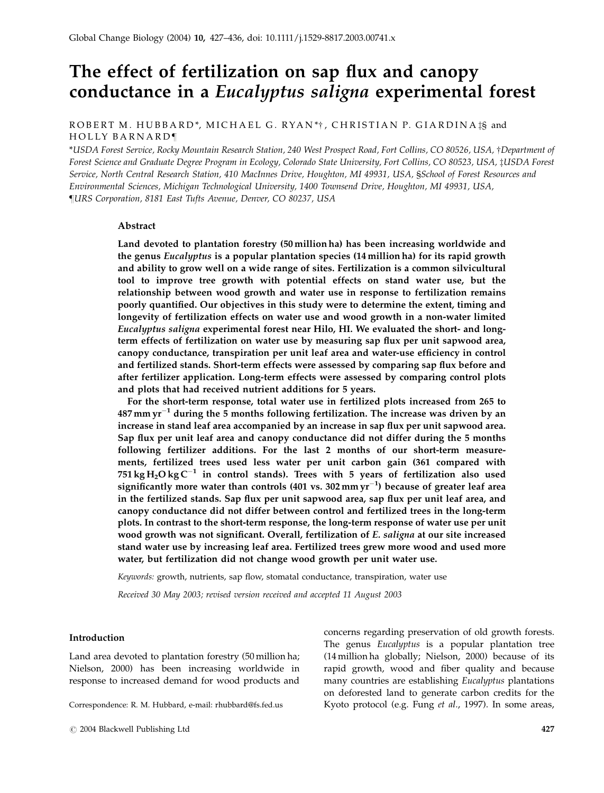# The effect of fertilization on sap flux and canopy conductance in a Eucalyptus saligna experimental forest

# ROBERT M. HUBBARD\*, MICHAEL G. RYAN\*†, CHRISTIAN P. GIARDINA‡§ and HOLLY BARNARD¶

\*USDA Forest Service, Rocky Mountain Research Station, 240 West Prospect Road, Fort Collins, CO 80526, USA, †Department of Forest Science and Graduate Degree Program in Ecology, Colorado State University, Fort Collins, CO 80523, USA, ‡USDA Forest Service, North Central Research Station, 410 MacInnes Drive, Houghton, MI 49931, USA, §School of Forest Resources and Environmental Sciences, Michigan Technological University, 1400 Townsend Drive, Houghton, MI 49931, USA, }URS Corporation, 8181 East Tufts Avenue, Denver, CO 80237, USA

# Abstract

Land devoted to plantation forestry (50 million ha) has been increasing worldwide and the genus Eucalyptus is a popular plantation species (14 million ha) for its rapid growth and ability to grow well on a wide range of sites. Fertilization is a common silvicultural tool to improve tree growth with potential effects on stand water use, but the relationship between wood growth and water use in response to fertilization remains poorly quantified. Our objectives in this study were to determine the extent, timing and longevity of fertilization effects on water use and wood growth in a non-water limited Eucalyptus saligna experimental forest near Hilo, HI. We evaluated the short- and longterm effects of fertilization on water use by measuring sap flux per unit sapwood area, canopy conductance, transpiration per unit leaf area and water-use efficiency in control and fertilized stands. Short-term effects were assessed by comparing sap flux before and after fertilizer application. Long-term effects were assessed by comparing control plots and plots that had received nutrient additions for 5 years.

For the short-term response, total water use in fertilized plots increased from 265 to 487 mm  $yr^{-1}$  during the 5 months following fertilization. The increase was driven by an increase in stand leaf area accompanied by an increase in sap flux per unit sapwood area. Sap flux per unit leaf area and canopy conductance did not differ during the 5 months following fertilizer additions. For the last 2 months of our short-term measurements, fertilized trees used less water per unit carbon gain (361 compared with 751 kg  $H_2O$  kg  $C^{-1}$  in control stands). Trees with 5 years of fertilization also used significantly more water than controls (401 vs. 302  $\mathrm{mm}\,\mathrm{yr}^{-1}$ ) because of greater leaf area in the fertilized stands. Sap flux per unit sapwood area, sap flux per unit leaf area, and canopy conductance did not differ between control and fertilized trees in the long-term plots. In contrast to the short-term response, the long-term response of water use per unit wood growth was not significant. Overall, fertilization of E. saligna at our site increased stand water use by increasing leaf area. Fertilized trees grew more wood and used more water, but fertilization did not change wood growth per unit water use.

Keywords: growth, nutrients, sap flow, stomatal conductance, transpiration, water use

Received 30 May 2003; revised version received and accepted 11 August 2003

# Introduction

Land area devoted to plantation forestry (50 million ha; Nielson, 2000) has been increasing worldwide in response to increased demand for wood products and

concerns regarding preservation of old growth forests. The genus *Eucalyptus* is a popular plantation tree (14 million ha globally; Nielson, 2000) because of its rapid growth, wood and fiber quality and because many countries are establishing Eucalyptus plantations on deforested land to generate carbon credits for the Correspondence: R. M. Hubbard, e-mail: rhubbard@fs.fed.us Kyoto protocol (e.g. Fung et al., 1997). In some areas,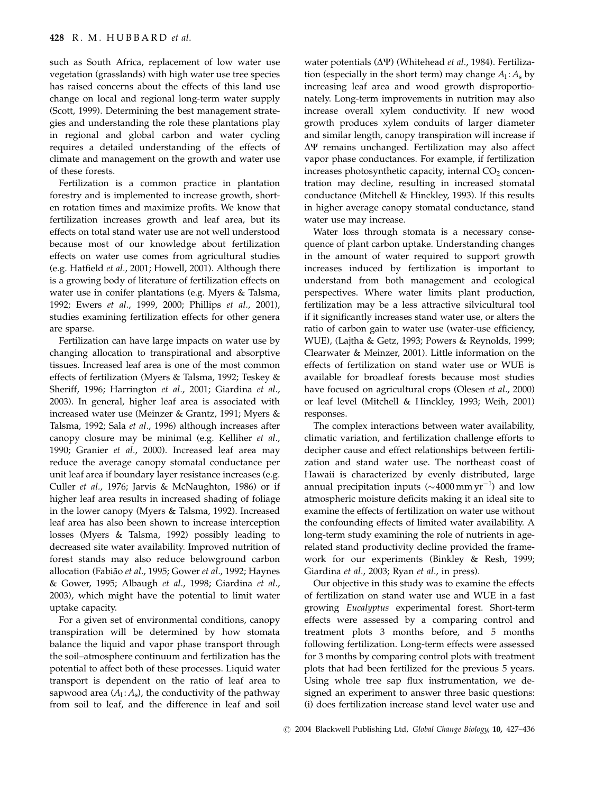such as South Africa, replacement of low water use vegetation (grasslands) with high water use tree species has raised concerns about the effects of this land use change on local and regional long-term water supply (Scott, 1999). Determining the best management strategies and understanding the role these plantations play in regional and global carbon and water cycling requires a detailed understanding of the effects of climate and management on the growth and water use of these forests.

Fertilization is a common practice in plantation forestry and is implemented to increase growth, shorten rotation times and maximize profits. We know that fertilization increases growth and leaf area, but its effects on total stand water use are not well understood because most of our knowledge about fertilization effects on water use comes from agricultural studies (e.g. Hatfield et al., 2001; Howell, 2001). Although there is a growing body of literature of fertilization effects on water use in conifer plantations (e.g. Myers & Talsma, 1992; Ewers et al., 1999, 2000; Phillips et al., 2001), studies examining fertilization effects for other genera are sparse.

Fertilization can have large impacts on water use by changing allocation to transpirational and absorptive tissues. Increased leaf area is one of the most common effects of fertilization (Myers & Talsma, 1992; Teskey & Sheriff, 1996; Harrington et al., 2001; Giardina et al., 2003). In general, higher leaf area is associated with increased water use (Meinzer & Grantz, 1991; Myers & Talsma, 1992; Sala et al., 1996) although increases after canopy closure may be minimal (e.g. Kelliher et al., 1990; Granier et al., 2000). Increased leaf area may reduce the average canopy stomatal conductance per unit leaf area if boundary layer resistance increases (e.g. Culler et al., 1976; Jarvis & McNaughton, 1986) or if higher leaf area results in increased shading of foliage in the lower canopy (Myers & Talsma, 1992). Increased leaf area has also been shown to increase interception losses (Myers & Talsma, 1992) possibly leading to decreased site water availability. Improved nutrition of forest stands may also reduce belowground carbon allocation (Fabião et al., 1995; Gower et al., 1992; Haynes & Gower, 1995; Albaugh et al., 1998; Giardina et al., 2003), which might have the potential to limit water uptake capacity.

For a given set of environmental conditions, canopy transpiration will be determined by how stomata balance the liquid and vapor phase transport through the soil–atmosphere continuum and fertilization has the potential to affect both of these processes. Liquid water transport is dependent on the ratio of leaf area to sapwood area  $(A_1: A_s)$ , the conductivity of the pathway from soil to leaf, and the difference in leaf and soil

water potentials  $(\Delta \Psi)$  (Whitehead et al., 1984). Fertilization (especially in the short term) may change  $A_1: A_s$  by increasing leaf area and wood growth disproportionately. Long-term improvements in nutrition may also increase overall xylem conductivity. If new wood growth produces xylem conduits of larger diameter and similar length, canopy transpiration will increase if  $\Delta \Psi$  remains unchanged. Fertilization may also affect vapor phase conductances. For example, if fertilization increases photosynthetic capacity, internal  $CO<sub>2</sub>$  concentration may decline, resulting in increased stomatal conductance (Mitchell & Hinckley, 1993). If this results in higher average canopy stomatal conductance, stand water use may increase.

Water loss through stomata is a necessary consequence of plant carbon uptake. Understanding changes in the amount of water required to support growth increases induced by fertilization is important to understand from both management and ecological perspectives. Where water limits plant production, fertilization may be a less attractive silvicultural tool if it significantly increases stand water use, or alters the ratio of carbon gain to water use (water-use efficiency, WUE), (Lajtha & Getz, 1993; Powers & Reynolds, 1999; Clearwater & Meinzer, 2001). Little information on the effects of fertilization on stand water use or WUE is available for broadleaf forests because most studies have focused on agricultural crops (Olesen et al., 2000) or leaf level (Mitchell & Hinckley, 1993; Weih, 2001) responses.

The complex interactions between water availability, climatic variation, and fertilization challenge efforts to decipher cause and effect relationships between fertilization and stand water use. The northeast coast of Hawaii is characterized by evenly distributed, large annual precipitation inputs ( $\sim\!4000\,\mathrm{mm}\,\mathrm{yr}^{-1}$ ) and low atmospheric moisture deficits making it an ideal site to examine the effects of fertilization on water use without the confounding effects of limited water availability. A long-term study examining the role of nutrients in agerelated stand productivity decline provided the framework for our experiments (Binkley & Resh, 1999; Giardina et al., 2003; Ryan et al., in press).

Our objective in this study was to examine the effects of fertilization on stand water use and WUE in a fast growing Eucalyptus experimental forest. Short-term effects were assessed by a comparing control and treatment plots 3 months before, and 5 months following fertilization. Long-term effects were assessed for 3 months by comparing control plots with treatment plots that had been fertilized for the previous 5 years. Using whole tree sap flux instrumentation, we designed an experiment to answer three basic questions: (i) does fertilization increase stand level water use and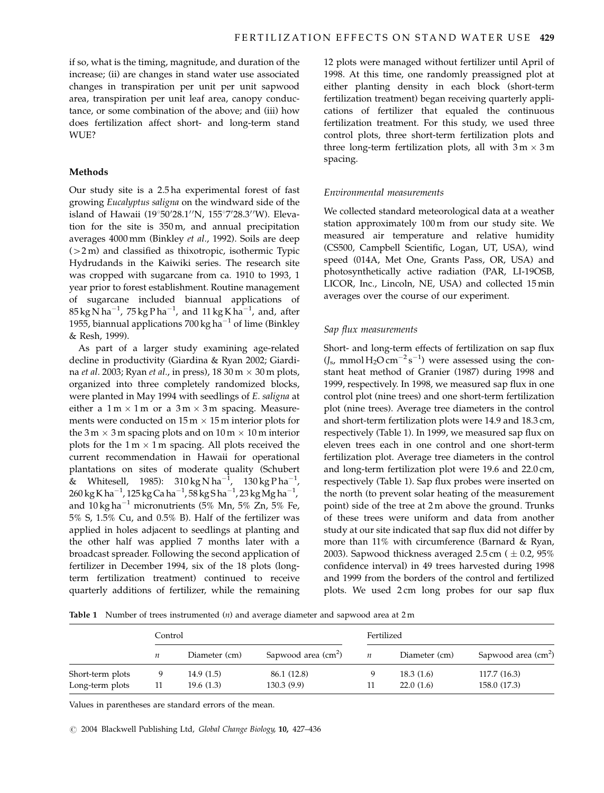if so, what is the timing, magnitude, and duration of the increase; (ii) are changes in stand water use associated changes in transpiration per unit per unit sapwood area, transpiration per unit leaf area, canopy conductance, or some combination of the above; and (iii) how does fertilization affect short- and long-term stand WUE?

## Methods

Our study site is a 2.5 ha experimental forest of fast growing Eucalyptus saligna on the windward side of the island of Hawaii (19°50'28.1''N, 155°7'28.3''W). Elevation for the site is 350 m, and annual precipitation averages 4000 mm (Binkley et al., 1992). Soils are deep  $(>2 m)$  and classified as thixotropic, isothermic Typic Hydrudands in the Kaiwiki series. The research site was cropped with sugarcane from ca. 1910 to 1993, 1 year prior to forest establishment. Routine management of sugarcane included biannual applications of  $85\,\mathrm{kg}\,\mathrm{N}\,\mathrm{ha}^{-1}$ ,  $75\,\mathrm{kg}\,\mathrm{P}\,\mathrm{ha}^{-1}$ , and  $11\,\mathrm{kg}\,\mathrm{K}\,\mathrm{ha}^{-1}$ , and, after 1955, biannual applications 700 kg ha<sup>-1</sup> of lime (Binkley & Resh, 1999).

As part of a larger study examining age-related decline in productivity (Giardina & Ryan 2002; Giardina et al. 2003; Ryan et al., in press),  $1830 \text{ m} \times 30 \text{ m}$  plots, organized into three completely randomized blocks, were planted in May 1994 with seedlings of E. saligna at either a  $1 \text{ m} \times 1 \text{ m}$  or a  $3 \text{ m} \times 3 \text{ m}$  spacing. Measurements were conducted on  $15 \text{ m} \times 15 \text{ m}$  interior plots for the 3 m  $\times$  3 m spacing plots and on 10 m  $\times$  10 m interior plots for the  $1 \text{ m} \times 1 \text{ m}$  spacing. All plots received the current recommendation in Hawaii for operational plantations on sites of moderate quality (Schubert & Whitesell, 1985):  $310 \text{ kg N} \text{ ha}^{-1}$ ,  $130 \text{ kg} \text{ P} \text{ ha}^{-1}$ , 260 kg K ha $^{-1}$ , 125 kg Ca ha $^{-1}$ , 58 kg S ha $^{-1}$ , 23 kg Mg ha $^{-1}$ , and  $10 \text{ kg ha}^{-1}$  micronutrients (5% Mn, 5% Zn, 5% Fe, 5% S, 1.5% Cu, and 0.5% B). Half of the fertilizer was applied in holes adjacent to seedlings at planting and the other half was applied 7 months later with a broadcast spreader. Following the second application of fertilizer in December 1994, six of the 18 plots (longterm fertilization treatment) continued to receive quarterly additions of fertilizer, while the remaining 12 plots were managed without fertilizer until April of 1998. At this time, one randomly preassigned plot at either planting density in each block (short-term fertilization treatment) began receiving quarterly applications of fertilizer that equaled the continuous fertilization treatment. For this study, we used three control plots, three short-term fertilization plots and three long-term fertilization plots, all with  $3m \times 3m$ spacing.

#### Environmental measurements

We collected standard meteorological data at a weather station approximately 100 m from our study site. We measured air temperature and relative humidity (CS500, Campbell Scientific, Logan, UT, USA), wind speed (014A, Met One, Grants Pass, OR, USA) and photosynthetically active radiation (PAR, LI-19OSB, LICOR, Inc., Lincoln, NE, USA) and collected 15 min averages over the course of our experiment.

#### Sap flux measurements

Short- and long-term effects of fertilization on sap flux  $(J<sub>s</sub>, mmol H<sub>2</sub>O cm<sup>-2</sup> s<sup>-1</sup>)$  were assessed using the constant heat method of Granier (1987) during 1998 and 1999, respectively. In 1998, we measured sap flux in one control plot (nine trees) and one short-term fertilization plot (nine trees). Average tree diameters in the control and short-term fertilization plots were 14.9 and 18.3 cm, respectively (Table 1). In 1999, we measured sap flux on eleven trees each in one control and one short-term fertilization plot. Average tree diameters in the control and long-term fertilization plot were 19.6 and 22.0 cm, respectively (Table 1). Sap flux probes were inserted on the north (to prevent solar heating of the measurement point) side of the tree at 2 m above the ground. Trunks of these trees were uniform and data from another study at our site indicated that sap flux did not differ by more than 11% with circumference (Barnard & Ryan, 2003). Sapwood thickness averaged 2.5 cm ( $\pm$  0.2, 95% confidence interval) in 49 trees harvested during 1998 and 1999 from the borders of the control and fertilized plots. We used 2 cm long probes for our sap flux

**Table 1** Number of trees instrumented  $(n)$  and average diameter and sapwood area at 2 m

|                  | Control |               |                                     | Fertilized |               |                      |
|------------------|---------|---------------|-------------------------------------|------------|---------------|----------------------|
|                  | n       | Diameter (cm) | Sapwood area $\text{(cm}^2\text{)}$ | п          | Diameter (cm) | Sapwood area $(cm2)$ |
| Short-term plots | 9       | 14.9(1.5)     | 86.1 (12.8)                         |            | 18.3(1.6)     | 117.7 (16.3)         |
| Long-term plots  | 11      | 19.6(1.3)     | 130.3 (9.9)                         | 11         | 22.0(1.6)     | 158.0 (17.3)         |

Values in parentheses are standard errors of the mean.

 $C$  2004 Blackwell Publishing Ltd, Global Change Biology, 10, 427-436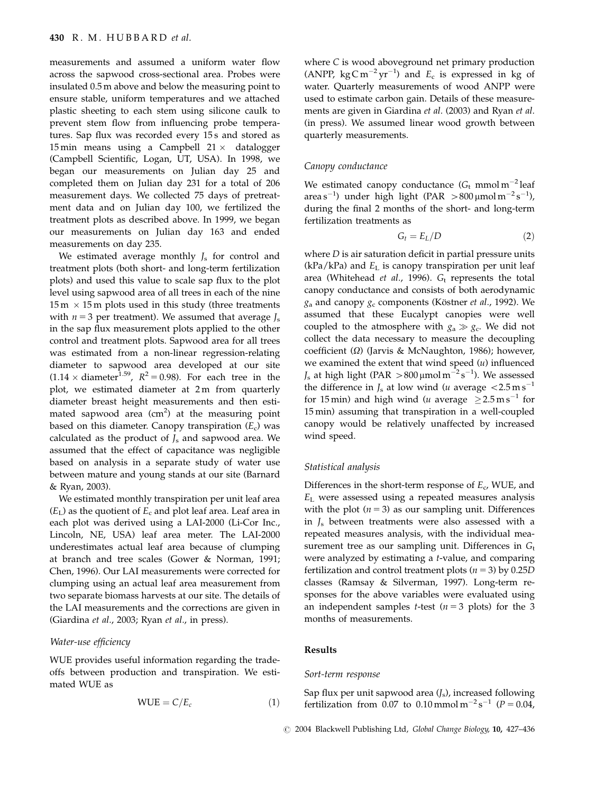measurements and assumed a uniform water flow across the sapwood cross-sectional area. Probes were insulated 0.5 m above and below the measuring point to ensure stable, uniform temperatures and we attached plastic sheeting to each stem using silicone caulk to prevent stem flow from influencing probe temperatures. Sap flux was recorded every 15s and stored as 15 min means using a Campbell  $21 \times$  datalogger (Campbell Scientific, Logan, UT, USA). In 1998, we began our measurements on Julian day 25 and completed them on Julian day 231 for a total of 206 measurement days. We collected 75 days of pretreatment data and on Julian day 100, we fertilized the treatment plots as described above. In 1999, we began our measurements on Julian day 163 and ended measurements on day 235.

We estimated average monthly  $J_s$  for control and treatment plots (both short- and long-term fertilization plots) and used this value to scale sap flux to the plot level using sapwood area of all trees in each of the nine  $15 \text{ m} \times 15 \text{ m}$  plots used in this study (three treatments with  $n = 3$  per treatment). We assumed that average  $J_s$ in the sap flux measurement plots applied to the other control and treatment plots. Sapwood area for all trees was estimated from a non-linear regression-relating diameter to sapwood area developed at our site  $(1.14 \times \text{diameter}^{1.59}, R^2=0.98)$ . For each tree in the plot, we estimated diameter at 2 m from quarterly diameter breast height measurements and then estimated sapwood area  $(cm<sup>2</sup>)$  at the measuring point based on this diameter. Canopy transpiration  $(E_c)$  was calculated as the product of  $J_s$  and sapwood area. We assumed that the effect of capacitance was negligible based on analysis in a separate study of water use between mature and young stands at our site (Barnard & Ryan, 2003).

We estimated monthly transpiration per unit leaf area  $(E<sub>I</sub>)$  as the quotient of  $E<sub>c</sub>$  and plot leaf area. Leaf area in each plot was derived using a LAI-2000 (Li-Cor Inc., Lincoln, NE, USA) leaf area meter. The LAI-2000 underestimates actual leaf area because of clumping at branch and tree scales (Gower & Norman, 1991; Chen, 1996). Our LAI measurements were corrected for clumping using an actual leaf area measurement from two separate biomass harvests at our site. The details of the LAI measurements and the corrections are given in (Giardina et al., 2003; Ryan et al., in press).

#### Water-use efficiency

WUE provides useful information regarding the tradeoffs between production and transpiration. We estimated WUE as

$$
WUE = C/E_c \tag{1}
$$

where C is wood aboveground net primary production (ANPP, kg C m<sup>-2</sup> yr<sup>-1</sup>) and  $E_c$  is expressed in kg of water. Quarterly measurements of wood ANPP were used to estimate carbon gain. Details of these measurements are given in Giardina et al. (2003) and Ryan et al. (in press). We assumed linear wood growth between quarterly measurements.

# Canopy conductance

We estimated canopy conductance  $(G_t \text{ mmol m}^{-2} \text{leaf})$ area s<sup>-1</sup>) under high light (PAR >800 µmol m<sup>-2</sup> s<sup>-1</sup>), during the final 2 months of the short- and long-term fertilization treatments as

$$
G_t = E_L/D \tag{2}
$$

where  $D$  is air saturation deficit in partial pressure units  $(kPa/kPa)$  and  $E<sub>L</sub>$  is canopy transpiration per unit leaf area (Whitehead et al., 1996).  $G_t$  represents the total canopy conductance and consists of both aerodynamic  $g_a$  and canopy  $g_c$  components (Köstner et al., 1992). We assumed that these Eucalypt canopies were well coupled to the atmosphere with  $g_a \gg g_c$ . We did not collect the data necessary to measure the decoupling coefficient  $(\Omega)$  (Jarvis & McNaughton, 1986); however, we examined the extent that wind speed  $(u)$  influenced  $J_s$  at high light (PAR  $>$ 800 µmol m<sup>-2</sup> s<sup>-1</sup>). We assessed the difference in  $J_s$  at low wind (*u* average  $\langle 2.5 \text{ m s}^{-1} \rangle$ for 15 min) and high wind (u average  $\geq 2.5 \,\mathrm{m\,s}^{-1}$  for 15 min) assuming that transpiration in a well-coupled canopy would be relatively unaffected by increased wind speed.

#### Statistical analysis

Differences in the short-term response of  $E_c$ , WUE, and  $E<sub>L</sub>$  were assessed using a repeated measures analysis with the plot  $(n = 3)$  as our sampling unit. Differences in  $I_s$  between treatments were also assessed with a repeated measures analysis, with the individual measurement tree as our sampling unit. Differences in  $G_t$ were analyzed by estimating a t-value, and comparing fertilization and control treatment plots ( $n = 3$ ) by 0.25D classes (Ramsay & Silverman, 1997). Long-term responses for the above variables were evaluated using an independent samples *t*-test ( $n = 3$  plots) for the 3 months of measurements.

#### Results

#### Sort-term response

Sap flux per unit sapwood area  $(J_s)$ , increased following fertilization from 0.07 to 0.10 mmol m<sup>-2</sup> s<sup>-1</sup> ( $P = 0.04$ ,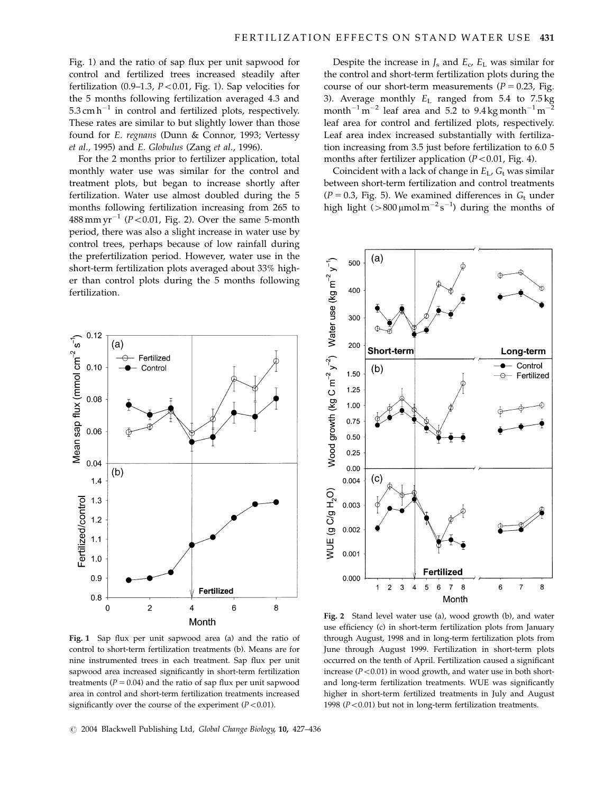Fig. 1) and the ratio of sap flux per unit sapwood for control and fertilized trees increased steadily after fertilization (0.9–1.3,  $P < 0.01$ , Fig. 1). Sap velocities for the 5 months following fertilization averaged 4.3 and  $5.3 \text{ cm h}^{-1}$  in control and fertilized plots, respectively. These rates are similar to but slightly lower than those found for E. regnans (Dunn & Connor, 1993; Vertessy et al., 1995) and E. Globulus (Zang et al., 1996).

For the 2 months prior to fertilizer application, total monthly water use was similar for the control and treatment plots, but began to increase shortly after fertilization. Water use almost doubled during the 5 months following fertilization increasing from 265 to 488 mm yr<sup>-1</sup> ( $P$ <0.01, Fig. 2). Over the same 5-month period, there was also a slight increase in water use by control trees, perhaps because of low rainfall during the prefertilization period. However, water use in the short-term fertilization plots averaged about 33% higher than control plots during the 5 months following fertilization.



Fig. 1 Sap flux per unit sapwood area (a) and the ratio of control to short-term fertilization treatments (b). Means are for nine instrumented trees in each treatment. Sap flux per unit sapwood area increased significantly in short-term fertilization treatments ( $P = 0.04$ ) and the ratio of sap flux per unit sapwood area in control and short-term fertilization treatments increased significantly over the course of the experiment  $(P<0.01)$ .

Despite the increase in  $J_s$  and  $E_c$ ,  $E_L$  was similar for the control and short-term fertilization plots during the course of our short-term measurements ( $P = 0.23$ , Fig. 3). Average monthly  $E_L$  ranged from 5.4 to 7.5 kg month<sup>-1</sup> m<sup>-2</sup> leaf area and 5.2 to 9.4 kg month<sup>-1</sup> m<sup>-</sup> leaf area for control and fertilized plots, respectively. Leaf area index increased substantially with fertilization increasing from 3.5 just before fertilization to 6.0 5 months after fertilizer application  $(P<0.01$ , Fig. 4).

Coincident with a lack of change in  $E_L$ ,  $G_t$  was similar between short-term fertilization and control treatments  $(P = 0.3,$  Fig. 5). We examined differences in  $G_t$  under high light  $(>800 \,\mu\text{mol m}^{-2}\text{s}^{-1})$  during the months of



Fig. 2 Stand level water use (a), wood growth (b), and water use efficiency (c) in short-term fertilization plots from January through August, 1998 and in long-term fertilization plots from June through August 1999. Fertilization in short-term plots occurred on the tenth of April. Fertilization caused a significant increase ( $P < 0.01$ ) in wood growth, and water use in both shortand long-term fertilization treatments. WUE was significantly higher in short-term fertilized treatments in July and August 1998 ( $P < 0.01$ ) but not in long-term fertilization treatments.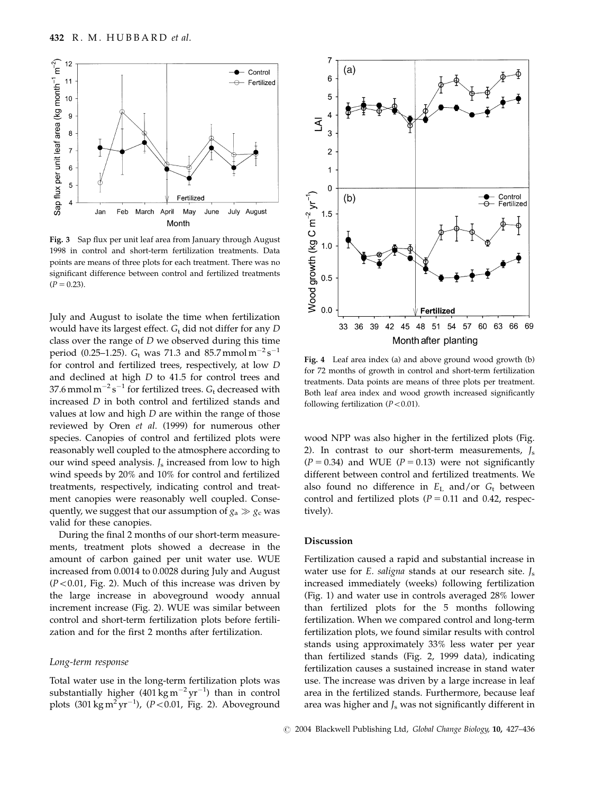

Fig. 3 Sap flux per unit leaf area from January through August 1998 in control and short-term fertilization treatments. Data points are means of three plots for each treatment. There was no significant difference between control and fertilized treatments  $(P = 0.23)$ .

July and August to isolate the time when fertilization would have its largest effect.  $G_t$  did not differ for any D class over the range of  $D$  we observed during this time period (0.25–1.25).  $G_t$  was 71.3 and 85.7 mmol m<sup>-2</sup> s<sup>-1</sup> for control and fertilized trees, respectively, at low D and declined at high D to 41.5 for control trees and 37.6 mmol m $^{-2}$  s $^{-1}$  for fertilized trees.  $G_{\rm t}$  decreased with increased D in both control and fertilized stands and values at low and high  $D$  are within the range of those reviewed by Oren et al. (1999) for numerous other species. Canopies of control and fertilized plots were reasonably well coupled to the atmosphere according to our wind speed analysis.  $J_s$  increased from low to high wind speeds by 20% and 10% for control and fertilized treatments, respectively, indicating control and treatment canopies were reasonably well coupled. Consequently, we suggest that our assumption of  $g_a \gg g_c$  was valid for these canopies.

During the final 2 months of our short-term measurements, treatment plots showed a decrease in the amount of carbon gained per unit water use. WUE increased from 0.0014 to 0.0028 during July and August  $(P<0.01$ , Fig. 2). Much of this increase was driven by the large increase in aboveground woody annual increment increase (Fig. 2). WUE was similar between control and short-term fertilization plots before fertilization and for the first 2 months after fertilization.

#### Long-term response

Total water use in the long-term fertilization plots was substantially higher (401 kg m $^{-2}$ yr $^{-1}$ ) than in control plots  $(301 \text{ kg m}^2 \text{yr}^{-1})$ ,  $(P < 0.01$ , Fig. 2). Aboveground



Fig. 4 Leaf area index (a) and above ground wood growth (b) for 72 months of growth in control and short-term fertilization treatments. Data points are means of three plots per treatment. Both leaf area index and wood growth increased significantly following fertilization  $(P<0.01)$ .

wood NPP was also higher in the fertilized plots (Fig. 2). In contrast to our short-term measurements,  $J_s$  $(P = 0.34)$  and WUE  $(P = 0.13)$  were not significantly different between control and fertilized treatments. We also found no difference in  $E_L$  and/or  $G_t$  between control and fertilized plots ( $P = 0.11$  and 0.42, respectively).

## Discussion

Fertilization caused a rapid and substantial increase in water use for E. saligna stands at our research site.  $J_s$ increased immediately (weeks) following fertilization (Fig. 1) and water use in controls averaged 28% lower than fertilized plots for the 5 months following fertilization. When we compared control and long-term fertilization plots, we found similar results with control stands using approximately 33% less water per year than fertilized stands (Fig. 2, 1999 data), indicating fertilization causes a sustained increase in stand water use. The increase was driven by a large increase in leaf area in the fertilized stands. Furthermore, because leaf area was higher and  $J_s$  was not significantly different in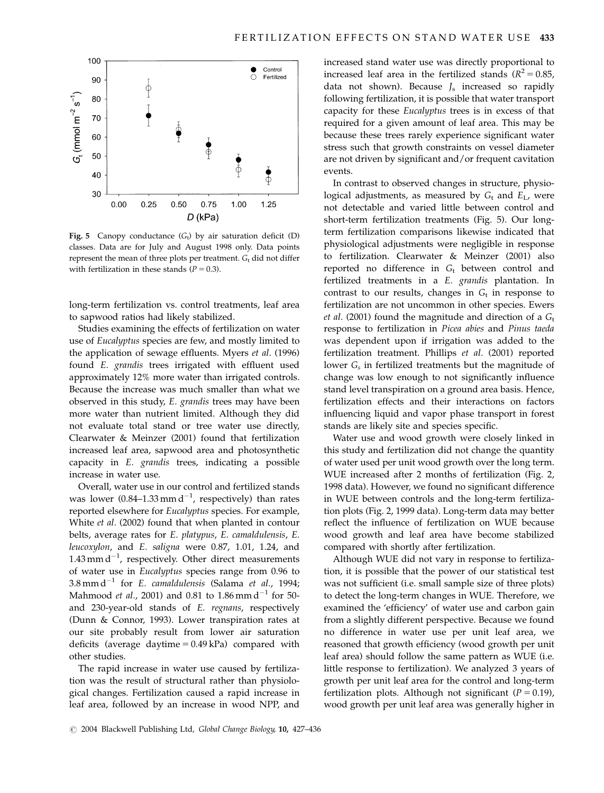

Fig. 5 Canopy conductance  $(G_t)$  by air saturation deficit (D) classes. Data are for July and August 1998 only. Data points represent the mean of three plots per treatment.  $G_t$  did not differ with fertilization in these stands ( $P = 0.3$ ).

long-term fertilization vs. control treatments, leaf area to sapwood ratios had likely stabilized.

Studies examining the effects of fertilization on water use of Eucalyptus species are few, and mostly limited to the application of sewage effluents. Myers et al. (1996) found E. grandis trees irrigated with effluent used approximately 12% more water than irrigated controls. Because the increase was much smaller than what we observed in this study, E. grandis trees may have been more water than nutrient limited. Although they did not evaluate total stand or tree water use directly, Clearwater & Meinzer (2001) found that fertilization increased leaf area, sapwood area and photosynthetic capacity in E. grandis trees, indicating a possible increase in water use.

Overall, water use in our control and fertilized stands was lower (0.84–1.33 mm d<sup>-1</sup>, respectively) than rates reported elsewhere for Eucalyptus species. For example, White et al. (2002) found that when planted in contour belts, average rates for E. platypus, E. camaldulensis, E. leucoxylon, and E. saligna were 0.87, 1.01, 1.24, and 1.43 mm  $d^{-1}$ , respectively. Other direct measurements of water use in Eucalyptus species range from 0.96 to 3.8 mm d<sup>-1</sup> for E. camaldulensis (Salama et al., 1994; Mahmood *et al.*, 2001) and 0.81 to 1.86 mm d<sup>-1</sup> for 50and 230-year-old stands of E. regnans, respectively (Dunn & Connor, 1993). Lower transpiration rates at our site probably result from lower air saturation deficits (average daytime  $= 0.49$  kPa) compared with other studies.

The rapid increase in water use caused by fertilization was the result of structural rather than physiological changes. Fertilization caused a rapid increase in leaf area, followed by an increase in wood NPP, and increased stand water use was directly proportional to increased leaf area in the fertilized stands ( $R^2 = 0.85$ , data not shown). Because  $J_s$  increased so rapidly following fertilization, it is possible that water transport capacity for these Eucalyptus trees is in excess of that required for a given amount of leaf area. This may be because these trees rarely experience significant water stress such that growth constraints on vessel diameter are not driven by significant and/or frequent cavitation events.

In contrast to observed changes in structure, physiological adjustments, as measured by  $G_t$  and  $E_L$ , were not detectable and varied little between control and short-term fertilization treatments (Fig. 5). Our longterm fertilization comparisons likewise indicated that physiological adjustments were negligible in response to fertilization. Clearwater & Meinzer (2001) also reported no difference in  $G_t$  between control and fertilized treatments in a E. grandis plantation. In contrast to our results, changes in  $G_t$  in response to fertilization are not uncommon in other species. Ewers et al. (2001) found the magnitude and direction of a  $G_t$ response to fertilization in Picea abies and Pinus taeda was dependent upon if irrigation was added to the fertilization treatment. Phillips et al. (2001) reported lower  $G_s$  in fertilized treatments but the magnitude of change was low enough to not significantly influence stand level transpiration on a ground area basis. Hence, fertilization effects and their interactions on factors influencing liquid and vapor phase transport in forest stands are likely site and species specific.

Water use and wood growth were closely linked in this study and fertilization did not change the quantity of water used per unit wood growth over the long term. WUE increased after 2 months of fertilization (Fig. 2, 1998 data). However, we found no significant difference in WUE between controls and the long-term fertilization plots (Fig. 2, 1999 data). Long-term data may better reflect the influence of fertilization on WUE because wood growth and leaf area have become stabilized compared with shortly after fertilization.

Although WUE did not vary in response to fertilization, it is possible that the power of our statistical test was not sufficient (i.e. small sample size of three plots) to detect the long-term changes in WUE. Therefore, we examined the 'efficiency' of water use and carbon gain from a slightly different perspective. Because we found no difference in water use per unit leaf area, we reasoned that growth efficiency (wood growth per unit leaf area) should follow the same pattern as WUE (i.e. little response to fertilization). We analyzed 3 years of growth per unit leaf area for the control and long-term fertilization plots. Although not significant ( $P = 0.19$ ), wood growth per unit leaf area was generally higher in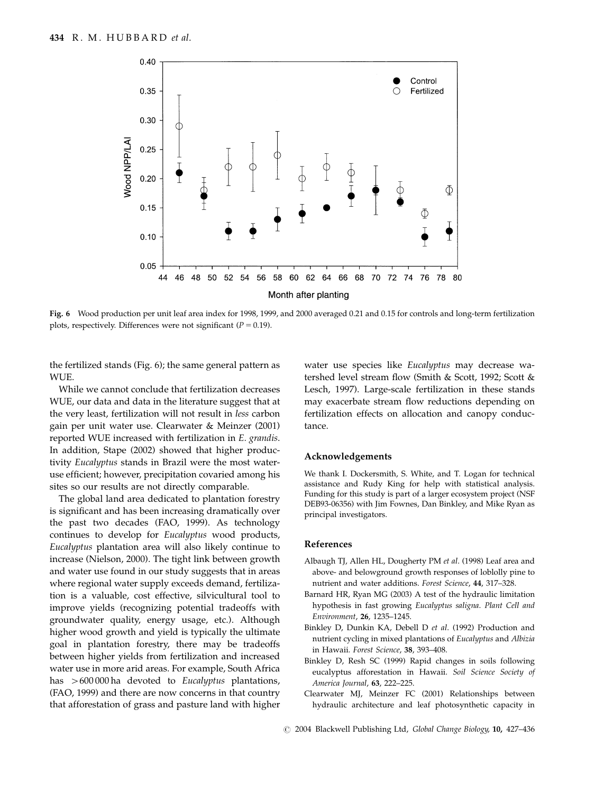

Fig. 6 Wood production per unit leaf area index for 1998, 1999, and 2000 averaged 0.21 and 0.15 for controls and long-term fertilization plots, respectively. Differences were not significant ( $P = 0.19$ ).

the fertilized stands (Fig. 6); the same general pattern as **WI** IF

While we cannot conclude that fertilization decreases WUE, our data and data in the literature suggest that at the very least, fertilization will not result in less carbon gain per unit water use. Clearwater & Meinzer (2001) reported WUE increased with fertilization in E. grandis. In addition, Stape (2002) showed that higher productivity Eucalyptus stands in Brazil were the most wateruse efficient; however, precipitation covaried among his sites so our results are not directly comparable.

The global land area dedicated to plantation forestry is significant and has been increasing dramatically over the past two decades (FAO, 1999). As technology continues to develop for Eucalyptus wood products, Eucalyptus plantation area will also likely continue to increase (Nielson, 2000). The tight link between growth and water use found in our study suggests that in areas where regional water supply exceeds demand, fertilization is a valuable, cost effective, silvicultural tool to improve yields (recognizing potential tradeoffs with groundwater quality, energy usage, etc.). Although higher wood growth and yield is typically the ultimate goal in plantation forestry, there may be tradeoffs between higher yields from fertilization and increased water use in more arid areas. For example, South Africa has  $>600 000$  ha devoted to *Eucalyptus* plantations, (FAO, 1999) and there are now concerns in that country that afforestation of grass and pasture land with higher water use species like Eucalyptus may decrease watershed level stream flow (Smith & Scott, 1992; Scott & Lesch, 1997). Large-scale fertilization in these stands may exacerbate stream flow reductions depending on fertilization effects on allocation and canopy conductance.

#### Acknowledgements

We thank I. Dockersmith, S. White, and T. Logan for technical assistance and Rudy King for help with statistical analysis. Funding for this study is part of a larger ecosystem project (NSF DEB93-06356) with Jim Fownes, Dan Binkley, and Mike Ryan as principal investigators.

## References

- Albaugh TJ, Allen HL, Dougherty PM et al. (1998) Leaf area and above- and belowground growth responses of loblolly pine to nutrient and water additions. Forest Science, 44, 317–328.
- Barnard HR, Ryan MG (2003) A test of the hydraulic limitation hypothesis in fast growing Eucalyptus saligna. Plant Cell and Environment, 26, 1235–1245.
- Binkley D, Dunkin KA, Debell D et al. (1992) Production and nutrient cycling in mixed plantations of Eucalyptus and Albizia in Hawaii. Forest Science, 38, 393–408.
- Binkley D, Resh SC (1999) Rapid changes in soils following eucalyptus afforestation in Hawaii. Soil Science Society of America Journal, 63, 222–225.
- Clearwater MJ, Meinzer FC (2001) Relationships between hydraulic architecture and leaf photosynthetic capacity in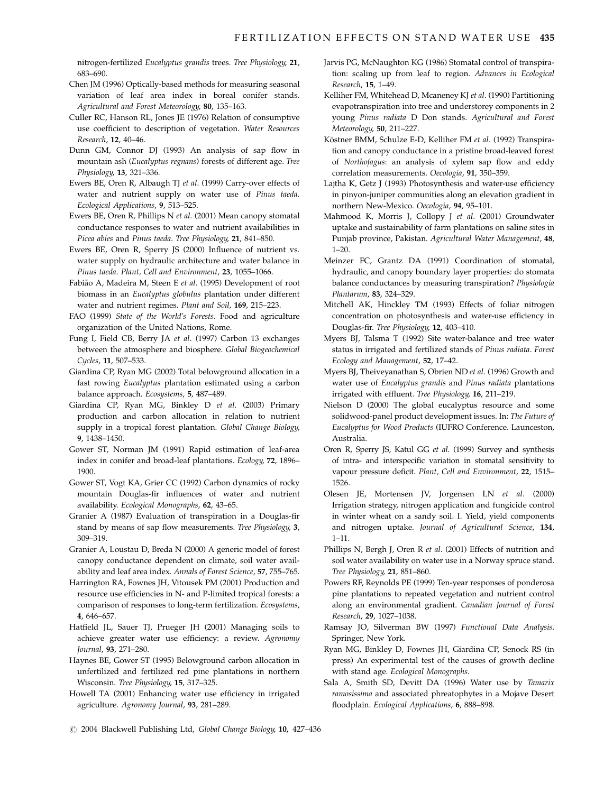nitrogen-fertilized Eucalyptus grandis trees. Tree Physiology, 21, 683–690.

- Chen JM (1996) Optically-based methods for measuring seasonal variation of leaf area index in boreal conifer stands. Agricultural and Forest Meteorology, 80, 135–163.
- Culler RC, Hanson RL, Jones JE (1976) Relation of consumptive use coefficient to description of vegetation. Water Resources Research, 12, 40–46.
- Dunn GM, Connor DJ (1993) An analysis of sap flow in mountain ash (Eucalyptus regnans) forests of different age. Tree Physiology, 13, 321–336.
- Ewers BE, Oren R, Albaugh TJ et al. (1999) Carry-over effects of water and nutrient supply on water use of Pinus taeda. Ecological Applications, 9, 513–525.
- Ewers BE, Oren R, Phillips N et al. (2001) Mean canopy stomatal conductance responses to water and nutrient availabilities in Picea abies and Pinus taeda. Tree Physiology, 21, 841–850.
- Ewers BE, Oren R, Sperry JS (2000) Influence of nutrient vs. water supply on hydraulic architecture and water balance in Pinus taeda. Plant, Cell and Environment, 23, 1055–1066.
- Fabião A, Madeira M, Steen E et al. (1995) Development of root biomass in an Eucalyptus globulus plantation under different water and nutrient regimes. Plant and Soil, 169, 215–223.
- FAO (1999) State of the World's Forests. Food and agriculture organization of the United Nations, Rome.
- Fung I, Field CB, Berry JA et al. (1997) Carbon 13 exchanges between the atmosphere and biosphere. Global Biogeochemical Cycles, 11, 507–533.
- Giardina CP, Ryan MG (2002) Total belowground allocation in a fast rowing Eucalyptus plantation estimated using a carbon balance approach. Ecosystems, 5, 487–489.
- Giardina CP, Ryan MG, Binkley D et al. (2003) Primary production and carbon allocation in relation to nutrient supply in a tropical forest plantation. Global Change Biology, 9, 1438–1450.
- Gower ST, Norman JM (1991) Rapid estimation of leaf-area index in conifer and broad-leaf plantations. Ecology, 72, 1896– 1900.
- Gower ST, Vogt KA, Grier CC (1992) Carbon dynamics of rocky mountain Douglas-fir influences of water and nutrient availability. Ecological Monographs, 62, 43–65.
- Granier A (1987) Evaluation of transpiration in a Douglas-fir stand by means of sap flow measurements. Tree Physiology, 3, 309–319.
- Granier A, Loustau D, Breda N (2000) A generic model of forest canopy conductance dependent on climate, soil water availability and leaf area index. Annals of Forest Science, 57, 755–765.
- Harrington RA, Fownes JH, Vitousek PM (2001) Production and resource use efficiencies in N- and P-limited tropical forests: a comparison of responses to long-term fertilization. Ecosystems, 4, 646–657.
- Hatfield JL, Sauer TJ, Prueger JH (2001) Managing soils to achieve greater water use efficiency: a review. Agronomy Journal, 93, 271–280.
- Haynes BE, Gower ST (1995) Belowground carbon allocation in unfertilized and fertilized red pine plantations in northern Wisconsin. Tree Physiology, 15, 317–325.
- Howell TA (2001) Enhancing water use efficiency in irrigated agriculture. Agronomy Journal, 93, 281–289.
- Jarvis PG, McNaughton KG (1986) Stomatal control of transpiration: scaling up from leaf to region. Advances in Ecological Research, 15, 1–49.
- Kelliher FM, Whitehead D, Mcaneney KJ et al. (1990) Partitioning evapotranspiration into tree and understorey components in 2 young Pinus radiata D Don stands. Agricultural and Forest Meteorology, 50, 211–227.
- Köstner BMM, Schulze E-D, Kelliher FM et al. (1992) Transpiration and canopy conductance in a pristine broad-leaved forest of Northofagus: an analysis of xylem sap flow and eddy correlation measurements. Oecologia, 91, 350–359.
- Lajtha K, Getz J (1993) Photosynthesis and water-use efficiency in pinyon-juniper communities along an elevation gradient in northern New-Mexico. Oecologia, 94, 95–101.
- Mahmood K, Morris J, Collopy J et al. (2001) Groundwater uptake and sustainability of farm plantations on saline sites in Punjab province, Pakistan. Agricultural Water Management, 48, 1–20.
- Meinzer FC, Grantz DA (1991) Coordination of stomatal, hydraulic, and canopy boundary layer properties: do stomata balance conductances by measuring transpiration? Physiologia Plantarum, 83, 324–329.
- Mitchell AK, Hinckley TM (1993) Effects of foliar nitrogen concentration on photosynthesis and water-use efficiency in Douglas-fir. Tree Physiology, 12, 403–410.
- Myers BJ, Talsma T (1992) Site water-balance and tree water status in irrigated and fertilized stands of Pinus radiata. Forest Ecology and Management, 52, 17–42.
- Myers BJ, Theiveyanathan S, Obrien ND et al. (1996) Growth and water use of Eucalyptus grandis and Pinus radiata plantations irrigated with effluent. Tree Physiology, 16, 211–219.
- Nielson D (2000) The global eucalyptus resource and some solidwood-panel product development issues. In: The Future of Eucalyptus for Wood Products (IUFRO Conference. Launceston, Australia.
- Oren R, Sperry JS, Katul GG et al. (1999) Survey and synthesis of intra- and interspecific variation in stomatal sensitivity to vapour pressure deficit. Plant, Cell and Environment, 22, 1515– 1526.
- Olesen JE, Mortensen JV, Jorgensen LN et al. (2000) Irrigation strategy, nitrogen application and fungicide control in winter wheat on a sandy soil. I. Yield, yield components and nitrogen uptake. Journal of Agricultural Science, 134, 1–11.
- Phillips N, Bergh J, Oren R et al. (2001) Effects of nutrition and soil water availability on water use in a Norway spruce stand. Tree Physiology, 21, 851–860.
- Powers RF, Reynolds PE (1999) Ten-year responses of ponderosa pine plantations to repeated vegetation and nutrient control along an environmental gradient. Canadian Journal of Forest Research, 29, 1027–1038.
- Ramsay JO, Silverman BW (1997) Functional Data Analysis. Springer, New York.
- Ryan MG, Binkley D, Fownes JH, Giardina CP, Senock RS (in press) An experimental test of the causes of growth decline with stand age. Ecological Monographs.
- Sala A, Smith SD, Devitt DA (1996) Water use by Tamarix ramosissima and associated phreatophytes in a Mojave Desert floodplain. Ecological Applications, 6, 888-898.
- r 2004 Blackwell Publishing Ltd, Global Change Biology, 10, 427–436